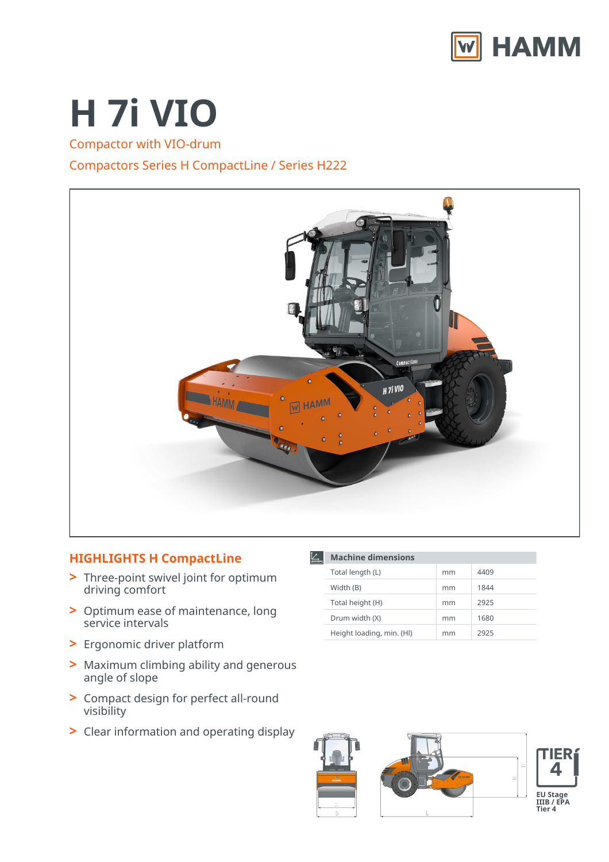

# **H 7i VIO**

Compactor with VIO-drum

## Compactors Series H CompactLine / Series H222



## **HIGHLIGHTS H CompactLine**

- Three-point swivel joint for optimum **>** driving comfort
- Optimum ease of maintenance, long **>** service intervals
- **>** Ergonomic driver platform
- Maximum climbing ability and generous **>** angle of slope
- Compact design for perfect all-round **>** visibility
- **>** Clear information and operating display

| <b>Machine dimensions</b> |    |      |
|---------------------------|----|------|
| Total length (L)          | mm | 4409 |
| Width (B)                 | mm | 1844 |
| Total height (H)          | mm | 2925 |
| Drum width (X)            | mm | 1680 |
| Height loading, min. (HI) | mm | 2925 |